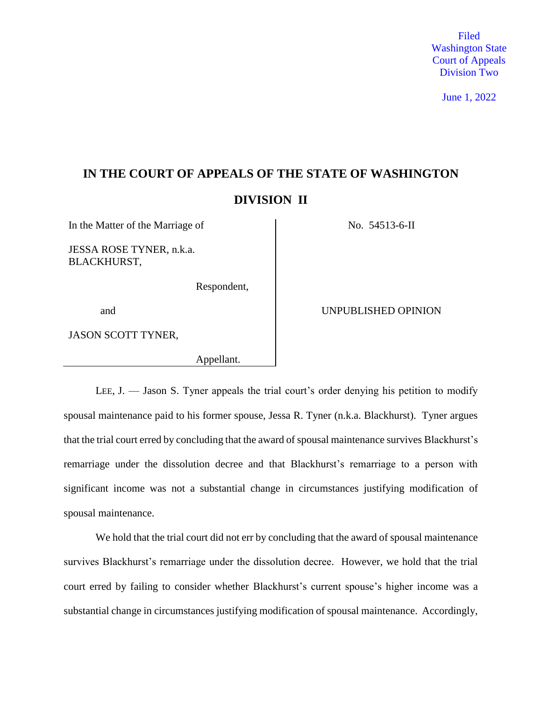Filed Washington State Court of Appeals Division Two

June 1, 2022

# **IN THE COURT OF APPEALS OF THE STATE OF WASHINGTON DIVISION II**

In the Matter of the Marriage of No. 54513-6-II

JESSA ROSE TYNER, n.k.a. BLACKHURST,

Respondent,

JASON SCOTT TYNER,

Appellant.

and UNPUBLISHED OPINION

LEE, J. — Jason S. Tyner appeals the trial court's order denying his petition to modify spousal maintenance paid to his former spouse, Jessa R. Tyner (n.k.a. Blackhurst). Tyner argues that the trial court erred by concluding that the award of spousal maintenance survives Blackhurst's remarriage under the dissolution decree and that Blackhurst's remarriage to a person with significant income was not a substantial change in circumstances justifying modification of spousal maintenance.

We hold that the trial court did not err by concluding that the award of spousal maintenance survives Blackhurst's remarriage under the dissolution decree. However, we hold that the trial court erred by failing to consider whether Blackhurst's current spouse's higher income was a substantial change in circumstances justifying modification of spousal maintenance. Accordingly,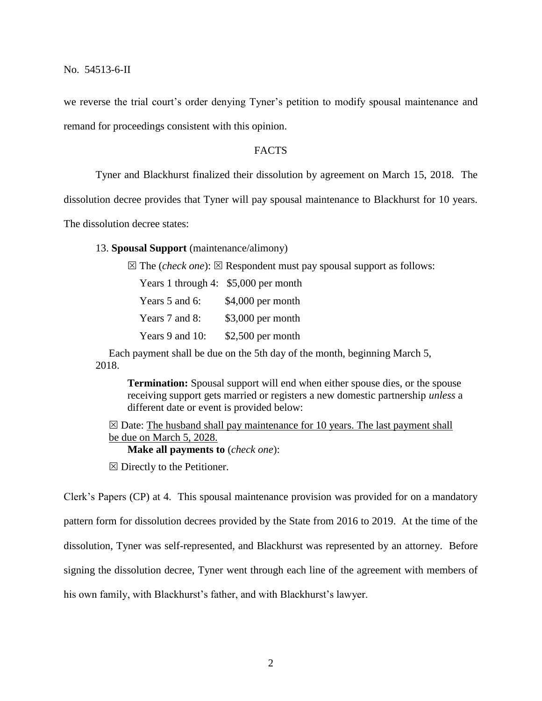we reverse the trial court's order denying Tyner's petition to modify spousal maintenance and remand for proceedings consistent with this opinion.

#### FACTS

Tyner and Blackhurst finalized their dissolution by agreement on March 15, 2018. The

dissolution decree provides that Tyner will pay spousal maintenance to Blackhurst for 10 years.

The dissolution decree states:

13. **Spousal Support** (maintenance/alimony)

 $\boxtimes$  The (*check one*):  $\boxtimes$  Respondent must pay spousal support as follows:

Years 1 through 4: \$5,000 per month

Years 5 and 6: \$4,000 per month Years 7 and 8: \$3,000 per month Years 9 and 10: \$2,500 per month

 Each payment shall be due on the 5th day of the month, beginning March 5, 2018.

 **Termination:** Spousal support will end when either spouse dies, or the spouse receiving support gets married or registers a new domestic partnership *unless* a different date or event is provided below:

 $\boxtimes$  Date: The husband shall pay maintenance for 10 years. The last payment shall be due on March 5, 2028.

**Make all payments to** (*check one*):

 $\boxtimes$  Directly to the Petitioner.

Clerk's Papers (CP) at 4. This spousal maintenance provision was provided for on a mandatory pattern form for dissolution decrees provided by the State from 2016 to 2019. At the time of the dissolution, Tyner was self-represented, and Blackhurst was represented by an attorney. Before signing the dissolution decree, Tyner went through each line of the agreement with members of his own family, with Blackhurst's father, and with Blackhurst's lawyer.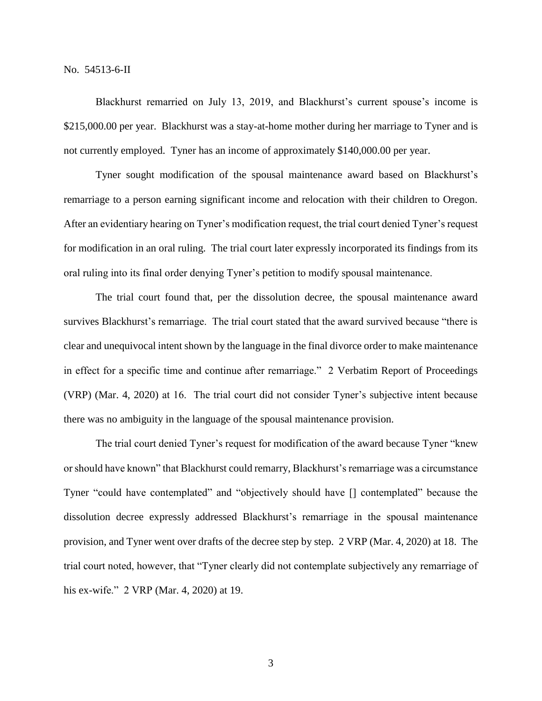Blackhurst remarried on July 13, 2019, and Blackhurst's current spouse's income is \$215,000.00 per year. Blackhurst was a stay-at-home mother during her marriage to Tyner and is not currently employed. Tyner has an income of approximately \$140,000.00 per year.

Tyner sought modification of the spousal maintenance award based on Blackhurst's remarriage to a person earning significant income and relocation with their children to Oregon. After an evidentiary hearing on Tyner's modification request, the trial court denied Tyner's request for modification in an oral ruling. The trial court later expressly incorporated its findings from its oral ruling into its final order denying Tyner's petition to modify spousal maintenance.

The trial court found that, per the dissolution decree, the spousal maintenance award survives Blackhurst's remarriage. The trial court stated that the award survived because "there is clear and unequivocal intent shown by the language in the final divorce order to make maintenance in effect for a specific time and continue after remarriage." 2 Verbatim Report of Proceedings (VRP) (Mar. 4, 2020) at 16. The trial court did not consider Tyner's subjective intent because there was no ambiguity in the language of the spousal maintenance provision.

The trial court denied Tyner's request for modification of the award because Tyner "knew or should have known" that Blackhurst could remarry, Blackhurst's remarriage was a circumstance Tyner "could have contemplated" and "objectively should have [] contemplated" because the dissolution decree expressly addressed Blackhurst's remarriage in the spousal maintenance provision, and Tyner went over drafts of the decree step by step. 2 VRP (Mar. 4, 2020) at 18. The trial court noted, however, that "Tyner clearly did not contemplate subjectively any remarriage of his ex-wife." 2 VRP (Mar. 4, 2020) at 19.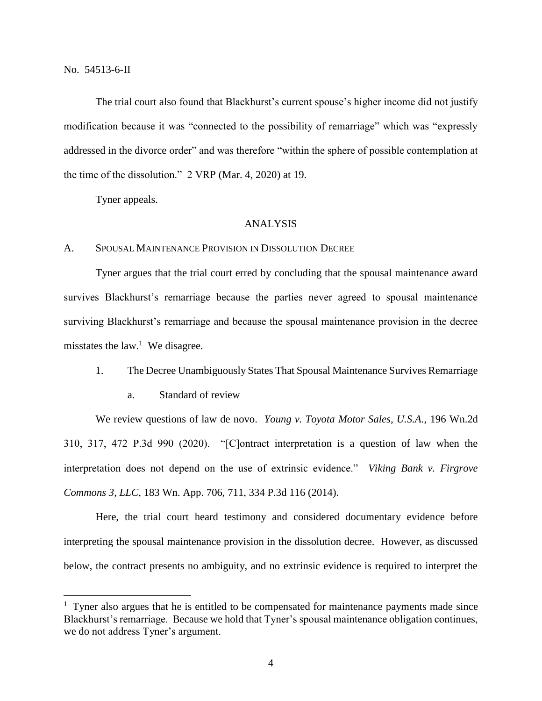$\overline{a}$ 

The trial court also found that Blackhurst's current spouse's higher income did not justify modification because it was "connected to the possibility of remarriage" which was "expressly addressed in the divorce order" and was therefore "within the sphere of possible contemplation at the time of the dissolution." 2 VRP (Mar. 4, 2020) at 19.

Tyner appeals.

## ANALYSIS

## A. SPOUSAL MAINTENANCE PROVISION IN DISSOLUTION DECREE

Tyner argues that the trial court erred by concluding that the spousal maintenance award survives Blackhurst's remarriage because the parties never agreed to spousal maintenance surviving Blackhurst's remarriage and because the spousal maintenance provision in the decree misstates the law.<sup>1</sup> We disagree.

## 1. The Decree Unambiguously States That Spousal Maintenance Survives Remarriage

a. Standard of review

We review questions of law de novo. *Young v. Toyota Motor Sales, U.S.A.*, 196 Wn.2d 310, 317, 472 P.3d 990 (2020). "[C]ontract interpretation is a question of law when the interpretation does not depend on the use of extrinsic evidence." *Viking Bank v. Firgrove Commons 3, LLC*, 183 Wn. App. 706, 711, 334 P.3d 116 (2014).

Here, the trial court heard testimony and considered documentary evidence before interpreting the spousal maintenance provision in the dissolution decree. However, as discussed below, the contract presents no ambiguity, and no extrinsic evidence is required to interpret the

 $<sup>1</sup>$  Tyner also argues that he is entitled to be compensated for maintenance payments made since</sup> Blackhurst's remarriage. Because we hold that Tyner's spousal maintenance obligation continues, we do not address Tyner's argument.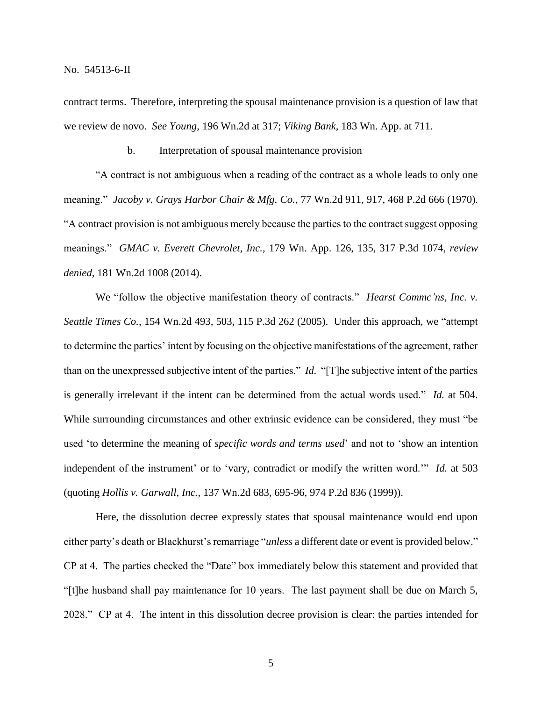contract terms. Therefore, interpreting the spousal maintenance provision is a question of law that we review de novo. *See Young*, 196 Wn.2d at 317; *Viking Bank*, 183 Wn. App. at 711.

## b. Interpretation of spousal maintenance provision

"A contract is not ambiguous when a reading of the contract as a whole leads to only one meaning." *Jacoby v. Grays Harbor Chair & Mfg. Co.*, 77 Wn.2d 911, 917, 468 P.2d 666 (1970). "A contract provision is not ambiguous merely because the parties to the contract suggest opposing meanings." *GMAC v. Everett Chevrolet, Inc.*, 179 Wn. App. 126, 135, 317 P.3d 1074, *review denied*, 181 Wn.2d 1008 (2014).

We "follow the objective manifestation theory of contracts." *Hearst Commc'ns, Inc. v. Seattle Times Co.*, 154 Wn.2d 493, 503, 115 P.3d 262 (2005). Under this approach, we "attempt to determine the parties' intent by focusing on the objective manifestations of the agreement, rather than on the unexpressed subjective intent of the parties." *Id.* "[T]he subjective intent of the parties is generally irrelevant if the intent can be determined from the actual words used." *Id.* at 504. While surrounding circumstances and other extrinsic evidence can be considered, they must "be used 'to determine the meaning of *specific words and terms used*' and not to 'show an intention independent of the instrument' or to 'vary, contradict or modify the written word.'" *Id.* at 503 (quoting *Hollis v. Garwall, Inc.*, 137 Wn.2d 683, 695-96, 974 P.2d 836 (1999)).

Here, the dissolution decree expressly states that spousal maintenance would end upon either party's death or Blackhurst's remarriage "*unless* a different date or event is provided below." CP at 4. The parties checked the "Date" box immediately below this statement and provided that "[t]he husband shall pay maintenance for 10 years. The last payment shall be due on March 5, 2028." CP at 4. The intent in this dissolution decree provision is clear: the parties intended for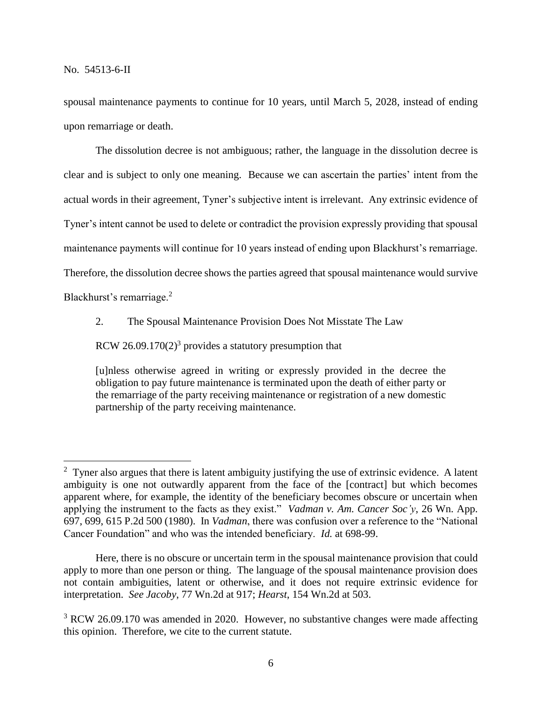spousal maintenance payments to continue for 10 years, until March 5, 2028, instead of ending upon remarriage or death.

The dissolution decree is not ambiguous; rather, the language in the dissolution decree is clear and is subject to only one meaning. Because we can ascertain the parties' intent from the actual words in their agreement, Tyner's subjective intent is irrelevant. Any extrinsic evidence of Tyner's intent cannot be used to delete or contradict the provision expressly providing that spousal maintenance payments will continue for 10 years instead of ending upon Blackhurst's remarriage. Therefore, the dissolution decree shows the parties agreed that spousal maintenance would survive Blackhurst's remarriage.<sup>2</sup>

 $\overline{a}$ 

2. The Spousal Maintenance Provision Does Not Misstate The Law

RCW 26.09.170 $(2)^3$  provides a statutory presumption that

[u]nless otherwise agreed in writing or expressly provided in the decree the obligation to pay future maintenance is terminated upon the death of either party or the remarriage of the party receiving maintenance or registration of a new domestic partnership of the party receiving maintenance.

 $2$  Tyner also argues that there is latent ambiguity justifying the use of extrinsic evidence. A latent ambiguity is one not outwardly apparent from the face of the [contract] but which becomes apparent where, for example, the identity of the beneficiary becomes obscure or uncertain when applying the instrument to the facts as they exist." *Vadman v. Am. Cancer Soc'y*, 26 Wn. App. 697, 699, 615 P.2d 500 (1980). In *Vadman*, there was confusion over a reference to the "National Cancer Foundation" and who was the intended beneficiary. *Id.* at 698-99.

Here, there is no obscure or uncertain term in the spousal maintenance provision that could apply to more than one person or thing. The language of the spousal maintenance provision does not contain ambiguities, latent or otherwise, and it does not require extrinsic evidence for interpretation. *See Jacoby*, 77 Wn.2d at 917; *Hearst*, 154 Wn.2d at 503.

<sup>&</sup>lt;sup>3</sup> RCW 26.09.170 was amended in 2020. However, no substantive changes were made affecting this opinion. Therefore, we cite to the current statute.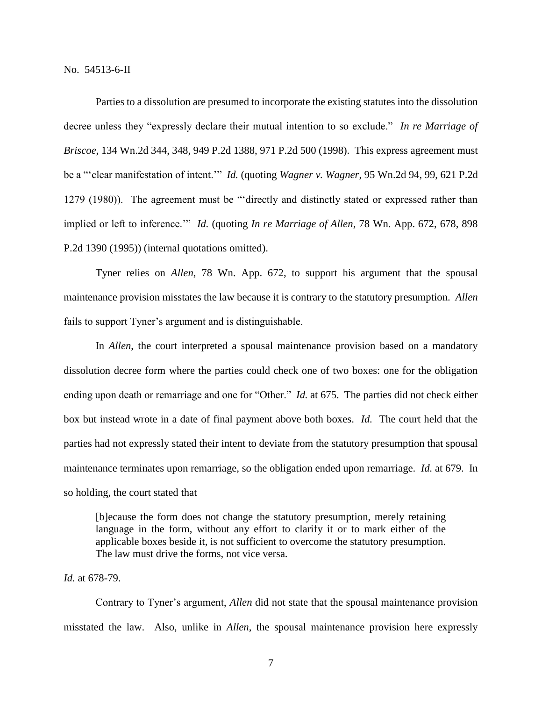Parties to a dissolution are presumed to incorporate the existing statutes into the dissolution decree unless they "expressly declare their mutual intention to so exclude." *In re Marriage of Briscoe*, 134 Wn.2d 344, 348, 949 P.2d 1388, 971 P.2d 500 (1998). This express agreement must be a "'clear manifestation of intent.'" *Id.* (quoting *Wagner v. Wagner*, 95 Wn.2d 94, 99, 621 P.2d 1279 (1980)). The agreement must be "'directly and distinctly stated or expressed rather than implied or left to inference.'" *Id.* (quoting *In re Marriage of Allen*, 78 Wn. App. 672, 678, 898 P.2d 1390 (1995)) (internal quotations omitted).

Tyner relies on *Allen*, 78 Wn. App. 672, to support his argument that the spousal maintenance provision misstates the law because it is contrary to the statutory presumption. *Allen*  fails to support Tyner's argument and is distinguishable.

In *Allen*, the court interpreted a spousal maintenance provision based on a mandatory dissolution decree form where the parties could check one of two boxes: one for the obligation ending upon death or remarriage and one for "Other." *Id.* at 675. The parties did not check either box but instead wrote in a date of final payment above both boxes. *Id.* The court held that the parties had not expressly stated their intent to deviate from the statutory presumption that spousal maintenance terminates upon remarriage, so the obligation ended upon remarriage. *Id.* at 679. In so holding, the court stated that

[b]ecause the form does not change the statutory presumption, merely retaining language in the form, without any effort to clarify it or to mark either of the applicable boxes beside it, is not sufficient to overcome the statutory presumption. The law must drive the forms, not vice versa.

## *Id.* at 678-79.

Contrary to Tyner's argument, *Allen* did not state that the spousal maintenance provision misstated the law. Also, unlike in *Allen*, the spousal maintenance provision here expressly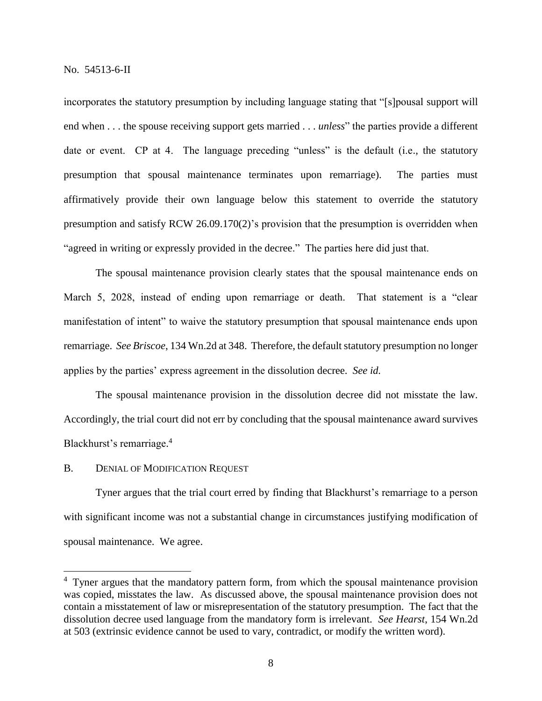incorporates the statutory presumption by including language stating that "[s]pousal support will end when . . . the spouse receiving support gets married . . . *unless*" the parties provide a different date or event. CP at 4. The language preceding "unless" is the default (i.e., the statutory presumption that spousal maintenance terminates upon remarriage). The parties must affirmatively provide their own language below this statement to override the statutory presumption and satisfy RCW 26.09.170(2)'s provision that the presumption is overridden when "agreed in writing or expressly provided in the decree." The parties here did just that.

The spousal maintenance provision clearly states that the spousal maintenance ends on March 5, 2028, instead of ending upon remarriage or death. That statement is a "clear manifestation of intent" to waive the statutory presumption that spousal maintenance ends upon remarriage. *See Briscoe*, 134 Wn.2d at 348. Therefore, the default statutory presumption no longer applies by the parties' express agreement in the dissolution decree. *See id.*

The spousal maintenance provision in the dissolution decree did not misstate the law. Accordingly, the trial court did not err by concluding that the spousal maintenance award survives Blackhurst's remarriage. 4

## B. DENIAL OF MODIFICATION REQUEST

 $\overline{a}$ 

Tyner argues that the trial court erred by finding that Blackhurst's remarriage to a person with significant income was not a substantial change in circumstances justifying modification of spousal maintenance. We agree.

<sup>&</sup>lt;sup>4</sup> Tyner argues that the mandatory pattern form, from which the spousal maintenance provision was copied, misstates the law. As discussed above, the spousal maintenance provision does not contain a misstatement of law or misrepresentation of the statutory presumption. The fact that the dissolution decree used language from the mandatory form is irrelevant. *See Hearst*, 154 Wn.2d at 503 (extrinsic evidence cannot be used to vary, contradict, or modify the written word).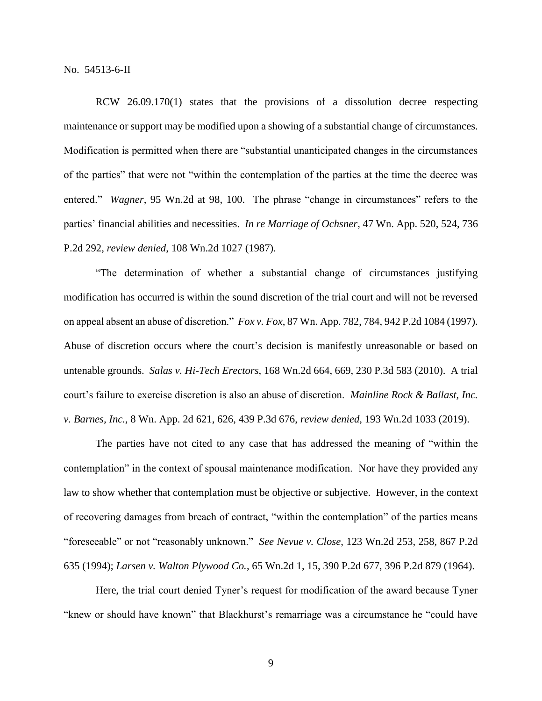RCW 26.09.170(1) states that the provisions of a dissolution decree respecting maintenance or support may be modified upon a showing of a substantial change of circumstances. Modification is permitted when there are "substantial unanticipated changes in the circumstances of the parties" that were not "within the contemplation of the parties at the time the decree was entered." *Wagner*, 95 Wn.2d at 98, 100. The phrase "change in circumstances" refers to the parties' financial abilities and necessities. *In re Marriage of Ochsner*, 47 Wn. App. 520, 524, 736 P.2d 292, *review denied*, 108 Wn.2d 1027 (1987).

"The determination of whether a substantial change of circumstances justifying modification has occurred is within the sound discretion of the trial court and will not be reversed on appeal absent an abuse of discretion." *Fox v. Fox*, 87 Wn. App. 782, 784, 942 P.2d 1084 (1997). Abuse of discretion occurs where the court's decision is manifestly unreasonable or based on untenable grounds. *Salas v. Hi-Tech Erectors*, 168 Wn.2d 664, 669, 230 P.3d 583 (2010). A trial court's failure to exercise discretion is also an abuse of discretion. *Mainline Rock & Ballast, Inc. v. Barnes, Inc.*, 8 Wn. App. 2d 621, 626, 439 P.3d 676, *review denied*, 193 Wn.2d 1033 (2019).

The parties have not cited to any case that has addressed the meaning of "within the contemplation" in the context of spousal maintenance modification. Nor have they provided any law to show whether that contemplation must be objective or subjective. However, in the context of recovering damages from breach of contract, "within the contemplation" of the parties means "foreseeable" or not "reasonably unknown." *See Nevue v. Close*, 123 Wn.2d 253, 258, 867 P.2d 635 (1994); *Larsen v. Walton Plywood Co.*, 65 Wn.2d 1, 15, 390 P.2d 677, 396 P.2d 879 (1964).

Here, the trial court denied Tyner's request for modification of the award because Tyner "knew or should have known" that Blackhurst's remarriage was a circumstance he "could have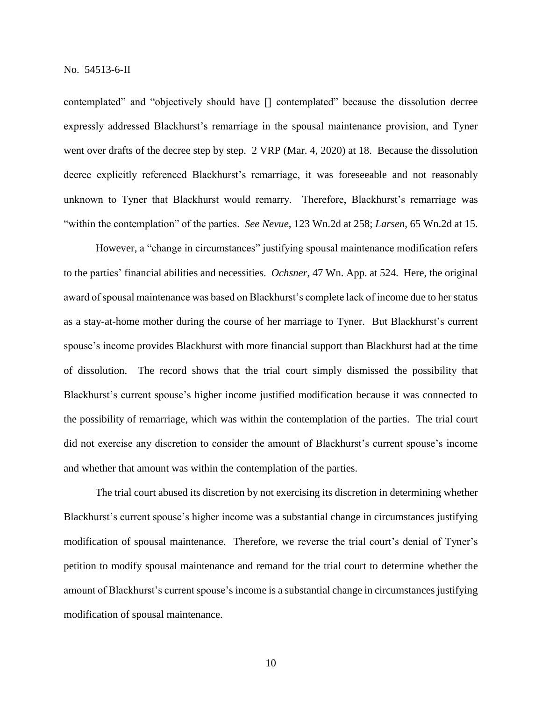contemplated" and "objectively should have [] contemplated" because the dissolution decree expressly addressed Blackhurst's remarriage in the spousal maintenance provision, and Tyner went over drafts of the decree step by step. 2 VRP (Mar. 4, 2020) at 18. Because the dissolution decree explicitly referenced Blackhurst's remarriage, it was foreseeable and not reasonably unknown to Tyner that Blackhurst would remarry. Therefore, Blackhurst's remarriage was "within the contemplation" of the parties. *See Nevue*, 123 Wn.2d at 258; *Larsen*, 65 Wn.2d at 15.

However, a "change in circumstances" justifying spousal maintenance modification refers to the parties' financial abilities and necessities. *Ochsner*, 47 Wn. App. at 524. Here, the original award of spousal maintenance was based on Blackhurst's complete lack of income due to her status as a stay-at-home mother during the course of her marriage to Tyner. But Blackhurst's current spouse's income provides Blackhurst with more financial support than Blackhurst had at the time of dissolution. The record shows that the trial court simply dismissed the possibility that Blackhurst's current spouse's higher income justified modification because it was connected to the possibility of remarriage, which was within the contemplation of the parties. The trial court did not exercise any discretion to consider the amount of Blackhurst's current spouse's income and whether that amount was within the contemplation of the parties.

The trial court abused its discretion by not exercising its discretion in determining whether Blackhurst's current spouse's higher income was a substantial change in circumstances justifying modification of spousal maintenance. Therefore, we reverse the trial court's denial of Tyner's petition to modify spousal maintenance and remand for the trial court to determine whether the amount of Blackhurst's current spouse's income is a substantial change in circumstances justifying modification of spousal maintenance.